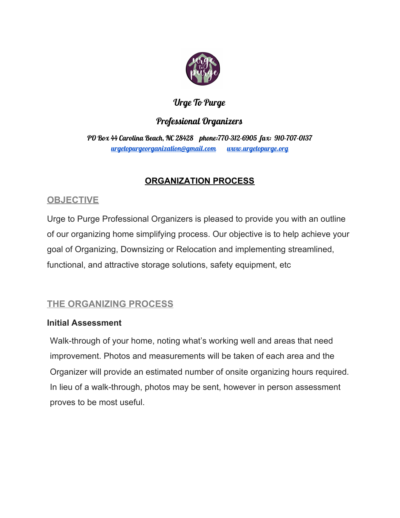

### Urge To Purge

### Professional Organizers

PO Box 44 Carolina Beach, NC 28428 phone:770-312-6905 fax: 910-707-0137 [urgetopurgeorganization@gmail.com](mailto:urgetopurgeorganization@gmail.com) [www.urgetopurge.org](http://www.urgetopurge.org/)

# **ORGANIZATION PROCESS**

# **OBJECTIVE**

Urge to Purge Professional Organizers is pleased to provide you with an outline of our organizing home simplifying process. Our objective is to help achieve your goal of Organizing, Downsizing or Relocation and implementing streamlined, functional, and attractive storage solutions, safety equipment, etc

# **THE ORGANIZING PROCESS**

#### **Initial Assessment**

Walk-through of your home, noting what's working well and areas that need improvement. Photos and measurements will be taken of each area and the Organizer will provide an estimated number of onsite organizing hours required. In lieu of a walk-through, photos may be sent, however in person assessment proves to be most useful.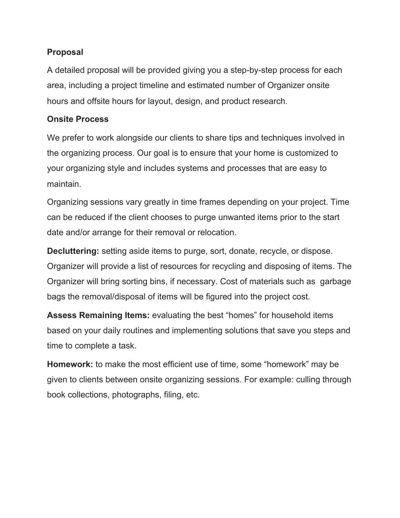#### **Proposal**

A detailed proposal will be provided giving you a step-by-step process for each area, including a project timeline and estimated number of Organizer onsite hours and offsite hours for layout, design, and product research.

#### **Onsite Process**

We prefer to work alongside our clients to share tips and techniques involved in the organizing process. Our goal is to ensure that your home is customized to your organizing style and includes systems and processes that are easy to maintain.

Organizing sessions vary greatly in time frames depending on your project. Time can be reduced if the client chooses to purge unwanted items prior to the start date and/or arrange for their removal or relocation.

**Decluttering:** setting aside items to purge, sort, donate, recycle, or dispose. Organizer will provide a list of resources for recycling and disposing of items. The Organizer will bring sorting bins, if necessary. Cost of materials such as garbage bags the removal/disposal of items will be figured into the project cost.

**Assess Remaining Items:** evaluating the best "homes" for household items based on your daily routines and implementing solutions that save you steps and time to complete a task.

**Homework:** to make the most efficient use of time, some "homework" may be given to clients between onsite organizing sessions. For example: culling through book collections, photographs, filing, etc.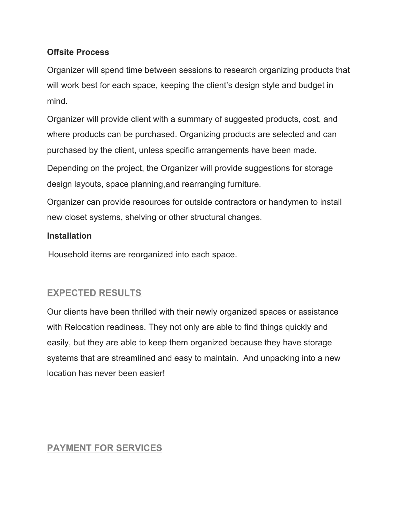#### **Offsite Process**

Organizer will spend time between sessions to research organizing products that will work best for each space, keeping the client's design style and budget in mind.

Organizer will provide client with a summary of suggested products, cost, and where products can be purchased. Organizing products are selected and can purchased by the client, unless specific arrangements have been made.

Depending on the project, the Organizer will provide suggestions for storage design layouts, space planning,and rearranging furniture.

Organizer can provide resources for outside contractors or handymen to install new closet systems, shelving or other structural changes.

#### **Installation**

Household items are reorganized into each space.

### **EXPECTED RESULTS**

Our clients have been thrilled with their newly organized spaces or assistance with Relocation readiness. They not only are able to find things quickly and easily, but they are able to keep them organized because they have storage systems that are streamlined and easy to maintain. And unpacking into a new location has never been easier!

### **PAYMENT FOR SERVICES**